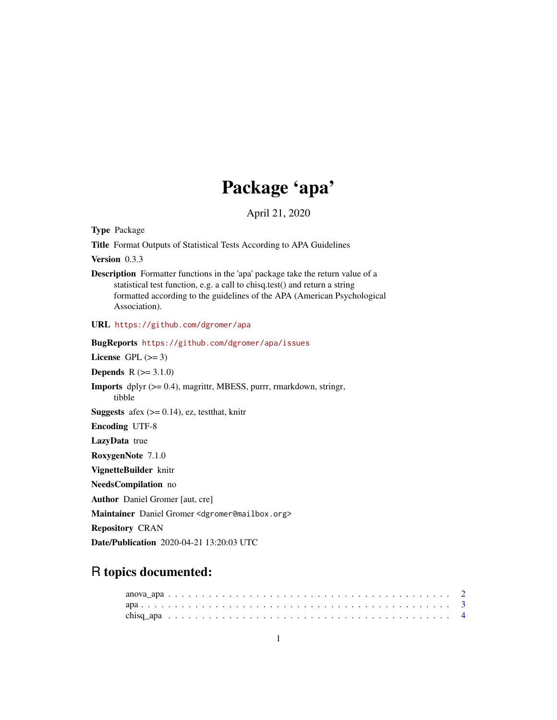## Package 'apa'

April 21, 2020

<span id="page-0-0"></span>Type Package

Title Format Outputs of Statistical Tests According to APA Guidelines

Version 0.3.3

Description Formatter functions in the 'apa' package take the return value of a statistical test function, e.g. a call to chisq.test() and return a string formatted according to the guidelines of the APA (American Psychological Association).

URL <https://github.com/dgromer/apa>

BugReports <https://github.com/dgromer/apa/issues>

License GPL  $(>= 3)$ 

**Depends**  $R (= 3.1.0)$ 

Imports dplyr (>= 0.4), magrittr, MBESS, purrr, rmarkdown, stringr, tibble

**Suggests** afex  $(>= 0.14)$ , ez, test that, knitr

Encoding UTF-8

LazyData true

RoxygenNote 7.1.0

VignetteBuilder knitr

NeedsCompilation no

Author Daniel Gromer [aut, cre]

Maintainer Daniel Gromer <dgromer@mailbox.org>

Repository CRAN

Date/Publication 2020-04-21 13:20:03 UTC

### R topics documented: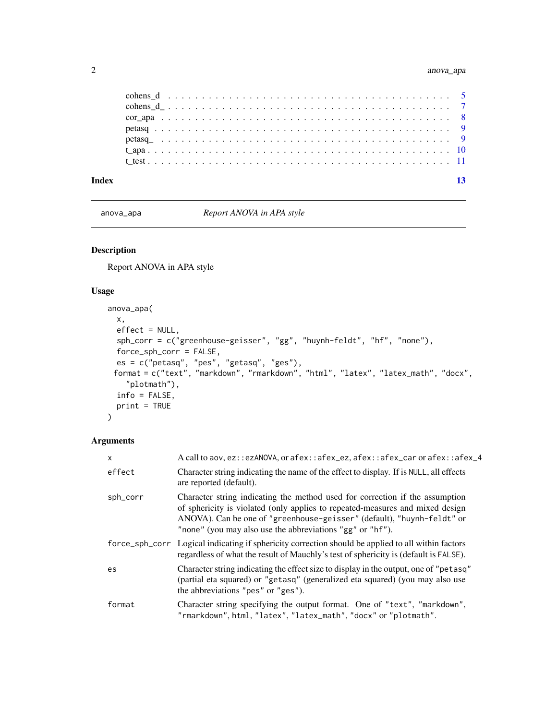<span id="page-1-0"></span>

| Index |  |  |  |  |  |  |  |  |  |  |  |  |  |  |  |  |  |  |  |  | 13 |
|-------|--|--|--|--|--|--|--|--|--|--|--|--|--|--|--|--|--|--|--|--|----|
|       |  |  |  |  |  |  |  |  |  |  |  |  |  |  |  |  |  |  |  |  |    |
|       |  |  |  |  |  |  |  |  |  |  |  |  |  |  |  |  |  |  |  |  |    |
|       |  |  |  |  |  |  |  |  |  |  |  |  |  |  |  |  |  |  |  |  |    |
|       |  |  |  |  |  |  |  |  |  |  |  |  |  |  |  |  |  |  |  |  |    |
|       |  |  |  |  |  |  |  |  |  |  |  |  |  |  |  |  |  |  |  |  |    |
|       |  |  |  |  |  |  |  |  |  |  |  |  |  |  |  |  |  |  |  |  |    |
|       |  |  |  |  |  |  |  |  |  |  |  |  |  |  |  |  |  |  |  |  |    |

<span id="page-1-1"></span>anova\_apa *Report ANOVA in APA style*

#### Description

Report ANOVA in APA style

#### Usage

```
anova_apa(
 x,
 effect = NULL,
 sph_corr = c("greenhouse-geisser", "gg", "huynh-feldt", "hf", "none"),
 force_sph_corr = FALSE,
 es = c("petasq", "pes", "getasq", "ges"),
 format = c("text", "markdown", "rmarkdown", "html", "latex", "latex_math", "docx",
    "plotmath"),
 info = FALSE,
 print = TRUE
)
```

| $\mathsf{x}$ | A call to aov, ez::ezANOVA, or afex::afex_ez, afex::afex_car or afex::afex_4                                                                                                                                                                                                                         |
|--------------|------------------------------------------------------------------------------------------------------------------------------------------------------------------------------------------------------------------------------------------------------------------------------------------------------|
| effect       | Character string indicating the name of the effect to display. If is NULL, all effects<br>are reported (default).                                                                                                                                                                                    |
| sph_corr     | Character string indicating the method used for correction if the assumption<br>of sphericity is violated (only applies to repeated-measures and mixed design<br>ANOVA). Can be one of "greenhouse-geisser" (default), "huynh-feldt" or<br>"none" (you may also use the abbreviations "gg" or "hf"). |
|              | force_sph_corr Logical indicating if sphericity correction should be applied to all within factors<br>regardless of what the result of Mauchly's test of sphericity is (default is FALSE).                                                                                                           |
| es           | Character string indicating the effect size to display in the output, one of "petasq"<br>(partial eta squared) or "getasq" (generalized eta squared) (you may also use<br>the abbreviations "pes" or "ges").                                                                                         |
| format       | Character string specifying the output format. One of "text", "markdown",<br>"rmarkdown", html, "latex", "latex_math", "docx" or "plotmath".                                                                                                                                                         |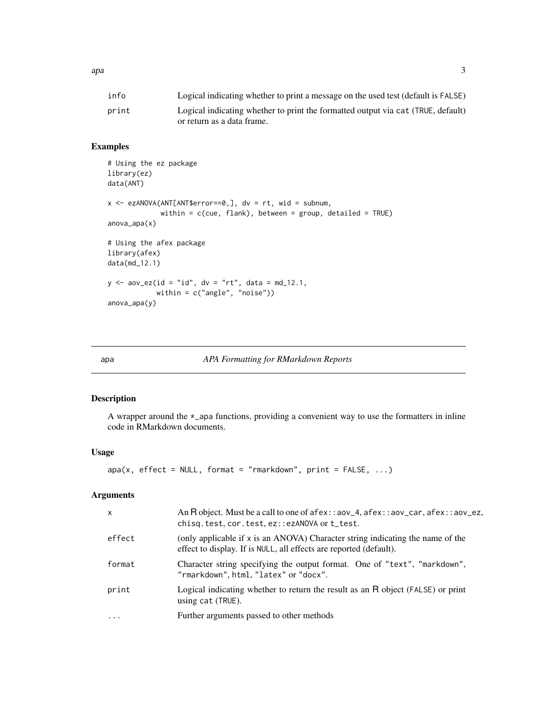<span id="page-2-0"></span> $apa$  3

| info  | Logical indicating whether to print a message on the used test (default is FALSE) |
|-------|-----------------------------------------------------------------------------------|
| print | Logical indicating whether to print the formatted output via cat (TRUE, default)  |
|       | or return as a data frame.                                                        |

#### Examples

```
# Using the ez package
library(ez)
data(ANT)
x \le - ezANOVA(ANT[ANT$error==0,], dv = rt, wid = subnum,
             within = c(cue, flank), between = group, detailed = TRUE)
anova_apa(x)
# Using the afex package
library(afex)
data(md_12.1)
y \le - aov_ez(id = "id", dv = "rt", data = md_12.1,
            within = c("angle", "noise"))
anova_apa(y)
```

| apa |  | APA Formatting for RMarkdown Reports |  |
|-----|--|--------------------------------------|--|
|     |  |                                      |  |

#### Description

A wrapper around the \*\_apa functions, providing a convenient way to use the formatters in inline code in RMarkdown documents.

#### Usage

```
apa(x, effect = NULL, format = "rmarkdown", print = FALSE, ...)
```

| $\mathsf{x}$ | An R object. Must be a call to one of $a$ fex:: $a$ ov_4, $a$ fex:: $a$ ov_car, $a$ fex:: $a$ ov_ez,<br>chisq.test, cor.test, ez::ezANOVA or t_test. |
|--------------|------------------------------------------------------------------------------------------------------------------------------------------------------|
| effect       | (only applicable if x is an ANOVA) Character string indicating the name of the<br>effect to display. If is NULL, all effects are reported (default). |
| format       | Character string specifying the output format. One of "text", "markdown",<br>"rmarkdown", html, "latex" or "docx".                                   |
| print        | Logical indicating whether to return the result as an R object (FALSE) or print<br>using cat (TRUE).                                                 |
| $\ddotsc$    | Further arguments passed to other methods                                                                                                            |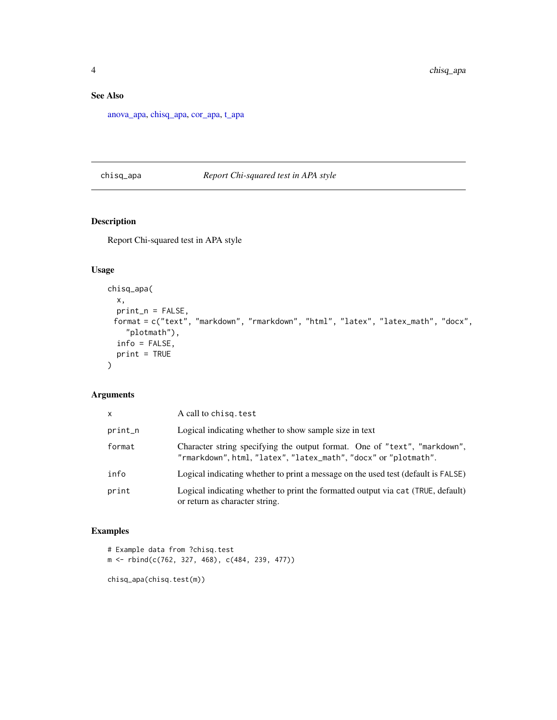#### <span id="page-3-0"></span>See Also

[anova\\_apa,](#page-1-1) [chisq\\_apa,](#page-3-1) [cor\\_apa,](#page-7-1) [t\\_apa](#page-9-1)

#### <span id="page-3-1"></span>chisq\_apa *Report Chi-squared test in APA style*

#### Description

Report Chi-squared test in APA style

#### Usage

```
chisq_apa(
 x,
 print_n = FALSE,
 format = c("text", "markdown", "rmarkdown", "html", "latex", "latex_math", "docx",
    "plotmath"),
 info = FALSE,
 print = TRUE
)
```
#### Arguments

| X.      | A call to chisq. test                                                                                                                        |
|---------|----------------------------------------------------------------------------------------------------------------------------------------------|
| print_n | Logical indicating whether to show sample size in text                                                                                       |
| format  | Character string specifying the output format. One of "text", "markdown",<br>"rmarkdown", html, "latex", "latex_math", "docx" or "plotmath". |
| info    | Logical indicating whether to print a message on the used test (default is FALSE)                                                            |
| print   | Logical indicating whether to print the formatted output via cat (TRUE, default)<br>or return as character string.                           |

#### Examples

```
# Example data from ?chisq.test
m <- rbind(c(762, 327, 468), c(484, 239, 477))
```
chisq\_apa(chisq.test(m))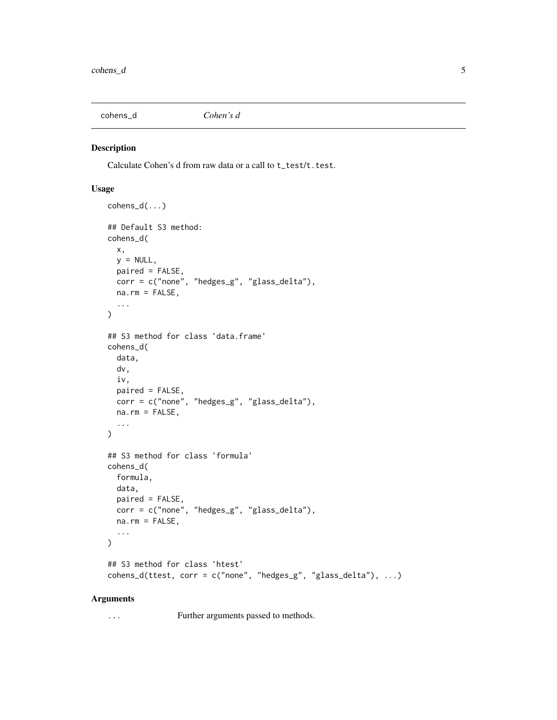<span id="page-4-0"></span>

Calculate Cohen's d from raw data or a call to t\_test/t.test.

#### Usage

```
cohens_d(...)
## Default S3 method:
cohens_d(
 x,
 y = NULL,paired = FALSE,corr = c("none", "hedges_g", "glass_delta"),
 na.rm = FALSE,
  ...
\mathcal{L}## S3 method for class 'data.frame'
cohens_d(
 data,
 dv,
 iv,
 paired = FALSE,corr = c("none", "hedges_g", "glass_delta"),
 na.rm = FALSE,
  ...
)
## S3 method for class 'formula'
cohens_d(
 formula,
 data,
 paired = FALSE,
 corr = c("none", "hedges_g", "glass_delta"),
 na.rm = FALSE,...
\mathcal{L}## S3 method for class 'htest'
cohens_d(ttest, corr = c("none", "hedges_g", "glass_delta"), ...)
```
#### Arguments

... Further arguments passed to methods.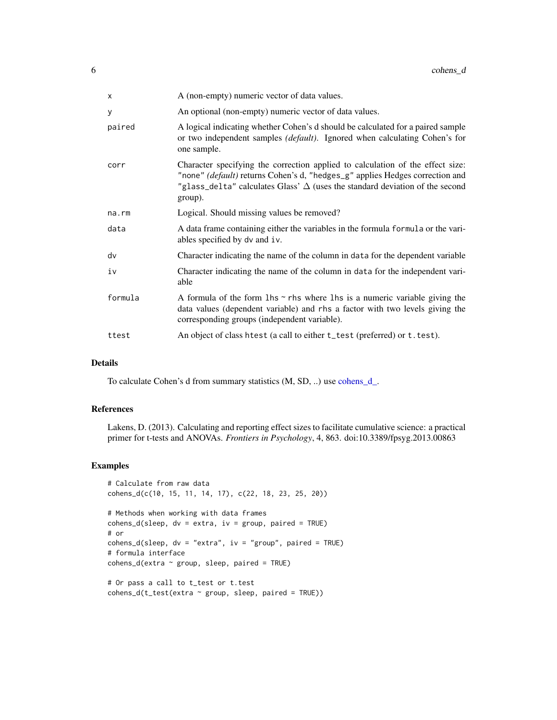<span id="page-5-0"></span>

| X       | A (non-empty) numeric vector of data values.                                                                                                                                                                                                                     |
|---------|------------------------------------------------------------------------------------------------------------------------------------------------------------------------------------------------------------------------------------------------------------------|
| У       | An optional (non-empty) numeric vector of data values.                                                                                                                                                                                                           |
| paired  | A logical indicating whether Cohen's d should be calculated for a paired sample<br>or two independent samples (default). Ignored when calculating Cohen's for<br>one sample.                                                                                     |
| corr    | Character specifying the correction applied to calculation of the effect size:<br>"none" (default) returns Cohen's d, "hedges_g" applies Hedges correction and<br>"glass_delta" calculates Glass' $\Delta$ (uses the standard deviation of the second<br>group). |
| na.rm   | Logical. Should missing values be removed?                                                                                                                                                                                                                       |
| data    | A data frame containing either the variables in the formula formula or the vari-<br>ables specified by dv and iv.                                                                                                                                                |
| dv      | Character indicating the name of the column in data for the dependent variable                                                                                                                                                                                   |
| iv      | Character indicating the name of the column in data for the independent vari-<br>able                                                                                                                                                                            |
| formula | A formula of the form $\ln s \sim r$ rhs where $\ln s$ is a numeric variable giving the<br>data values (dependent variable) and rhs a factor with two levels giving the<br>corresponding groups (independent variable).                                          |
| ttest   | An object of class htest (a call to either t_test (preferred) or t. test).                                                                                                                                                                                       |

#### Details

To calculate Cohen's d from summary statistics (M, SD, ..) use [cohens\\_d\\_.](#page-6-1)

#### References

Lakens, D. (2013). Calculating and reporting effect sizes to facilitate cumulative science: a practical primer for t-tests and ANOVAs. *Frontiers in Psychology*, 4, 863. doi:10.3389/fpsyg.2013.00863

#### Examples

```
# Calculate from raw data
cohens_d(c(10, 15, 11, 14, 17), c(22, 18, 23, 25, 20))
# Methods when working with data frames
cohens_d(sleep, dv = extra, iv = group, paired = TRUE)# or
cohens_d(sleep, dv = "extra", iv = "group", paired = TRUE)# formula interface
cohens_d(extra \sim group, sleep, paired = TRUE)
# Or pass a call to t_test or t.test
```

```
cohens_d(t_test(extra \sim group, sleep, paired = TRUE))
```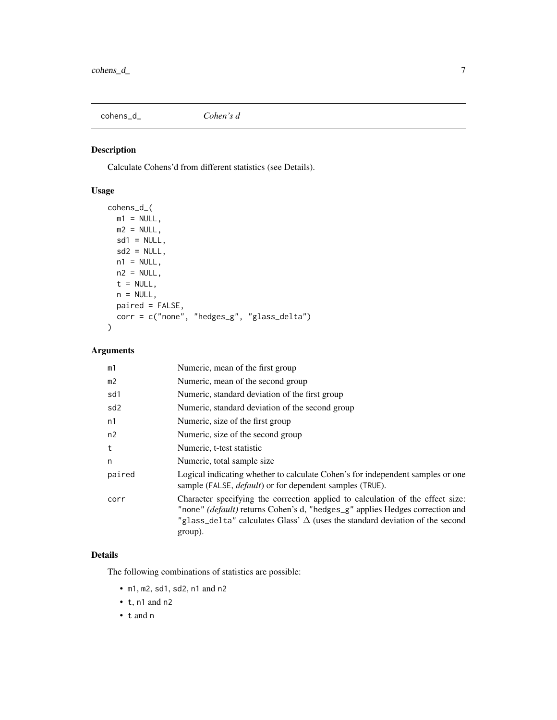<span id="page-6-1"></span><span id="page-6-0"></span>cohens\_d\_ *Cohen's d*

#### Description

Calculate Cohens'd from different statistics (see Details).

#### Usage

```
cohens_d_(
 m1 = NULL,m2 = NULL,sd1 = NULL,sd2 = NULL,n1 = NULL,n2 = NULL,t = NULL,n = NULL,paired = FALSE,
 corr = c("none", "hedges_g", "glass_delta")
)
```
#### Arguments

| m1              | Numeric, mean of the first group                                                                                                                                                                                                                                 |
|-----------------|------------------------------------------------------------------------------------------------------------------------------------------------------------------------------------------------------------------------------------------------------------------|
| m <sub>2</sub>  | Numeric, mean of the second group                                                                                                                                                                                                                                |
| sd1             | Numeric, standard deviation of the first group                                                                                                                                                                                                                   |
| sd <sub>2</sub> | Numeric, standard deviation of the second group                                                                                                                                                                                                                  |
| n1              | Numeric, size of the first group                                                                                                                                                                                                                                 |
| n2              | Numeric, size of the second group                                                                                                                                                                                                                                |
| t               | Numeric, t-test statistic                                                                                                                                                                                                                                        |
| n               | Numeric, total sample size.                                                                                                                                                                                                                                      |
| paired          | Logical indicating whether to calculate Cohen's for independent samples or one<br>sample (FALSE, <i>default</i> ) or for dependent samples (TRUE).                                                                                                               |
| corr            | Character specifying the correction applied to calculation of the effect size:<br>"none" (default) returns Cohen's d, "hedges_g" applies Hedges correction and<br>"glass_delta" calculates Glass' $\Delta$ (uses the standard deviation of the second<br>group). |

#### Details

The following combinations of statistics are possible:

- m1, m2, sd1, sd2, n1 and n2
- t, n1 and n2
- t and n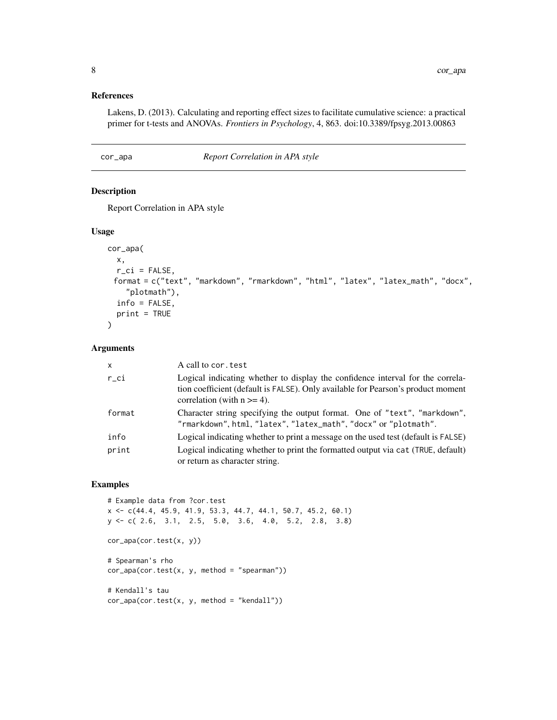#### <span id="page-7-0"></span>References

Lakens, D. (2013). Calculating and reporting effect sizes to facilitate cumulative science: a practical primer for t-tests and ANOVAs. *Frontiers in Psychology*, 4, 863. doi:10.3389/fpsyg.2013.00863

#### <span id="page-7-1"></span>cor\_apa *Report Correlation in APA style*

#### Description

Report Correlation in APA style

#### Usage

```
cor_apa(
 x,
 r_ci = FALSE,
 format = c("text", "markdown", "rmarkdown", "html", "latex", "latex_math", "docx",
    "plotmath"),
  info = FALSE,
 print = TRUE
\mathcal{L}
```
#### Arguments

| X       | A call to cor. test                                                                                                                                                                                   |
|---------|-------------------------------------------------------------------------------------------------------------------------------------------------------------------------------------------------------|
| $r$ _ci | Logical indicating whether to display the confidence interval for the correla-<br>tion coefficient (default is FALSE). Only available for Pearson's product moment<br>correlation (with $n \geq 4$ ). |
| format  | Character string specifying the output format. One of "text", "markdown",<br>"rmarkdown", html, "latex", "latex_math", "docx" or "plotmath".                                                          |
| info    | Logical indicating whether to print a message on the used test (default is FALSE)                                                                                                                     |
| print   | Logical indicating whether to print the formatted output via cat (TRUE, default)<br>or return as character string.                                                                                    |

#### Examples

```
# Example data from ?cor.test
x <- c(44.4, 45.9, 41.9, 53.3, 44.7, 44.1, 50.7, 45.2, 60.1)
y <- c( 2.6, 3.1, 2.5, 5.0, 3.6, 4.0, 5.2, 2.8, 3.8)
cor_apa(cor.test(x, y))
# Spearman's rho
cor<sub>-</sub>apa(cor.test(x, y, method = "spearman"))# Kendall's tau
cor_apa(cor.test(x, y, method = "kendall"))
```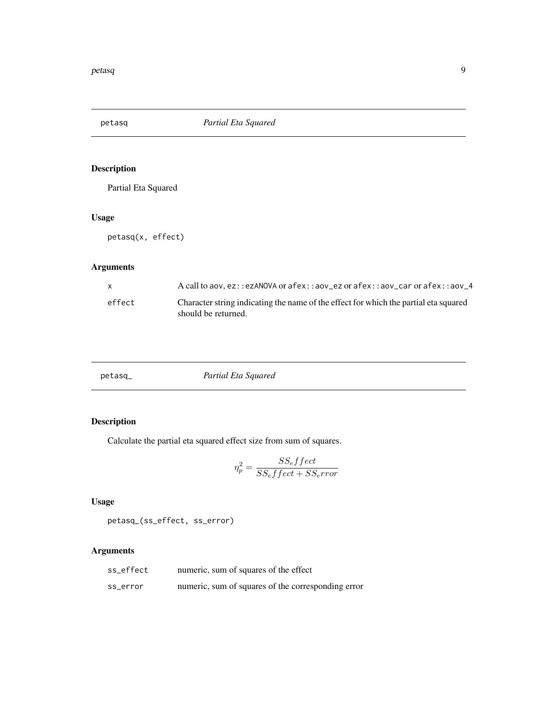<span id="page-8-0"></span>

Partial Eta Squared

#### Usage

petasq(x, effect)

#### Arguments

| X      | A call to aov, ez::ezANOVA or afex::aov_ez or afex::aov_car or afex::aov_4                                  |
|--------|-------------------------------------------------------------------------------------------------------------|
| effect | Character string indicating the name of the effect for which the partial eta squared<br>should be returned. |

| Partial Eta Squared<br>$petasq_$ |
|----------------------------------|
|----------------------------------|

#### Description

Calculate the partial eta squared effect size from sum of squares.

$$
\eta_p^2 = \frac{SS_{e}ffect}{SS_{e}ffect + SS_{e}rior}
$$

#### Usage

petasq\_(ss\_effect, ss\_error)

| ss_effect | numeric, sum of squares of the effect              |
|-----------|----------------------------------------------------|
| ss_error  | numeric, sum of squares of the corresponding error |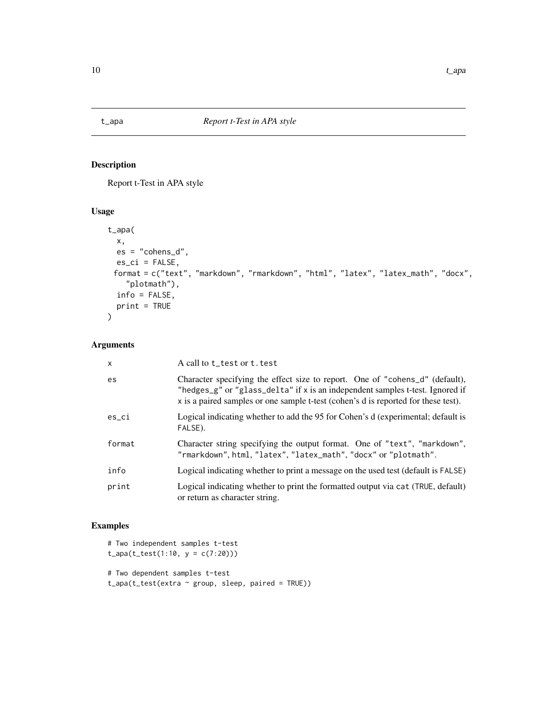<span id="page-9-1"></span><span id="page-9-0"></span>

Report t-Test in APA style

#### Usage

```
t_apa(
 x,
 es = "cohens_d",
 es\_ci = FALSE,format = c("text", "markdown", "rmarkdown", "html", "latex", "latex_math", "docx",
    "plotmath"),
 info = FALSE,
 print = TRUE
)
```
#### Arguments

| $\times$ | A call to t_test or t. test                                                                                                                                                                                                                         |
|----------|-----------------------------------------------------------------------------------------------------------------------------------------------------------------------------------------------------------------------------------------------------|
| es       | Character specifying the effect size to report. One of "cohens_d" (default),<br>"hedges_g" or "glass_delta" if x is an independent samples t-test. Ignored if<br>x is a paired samples or one sample t-test (cohen's d is reported for these test). |
| es ci    | Logical indicating whether to add the 95 for Cohen's d (experimental; default is<br>FALSE).                                                                                                                                                         |
| format   | Character string specifying the output format. One of "text", "markdown",<br>"rmarkdown", html, "latex", "latex_math", "docx" or "plotmath".                                                                                                        |
| info     | Logical indicating whether to print a message on the used test (default is FALSE)                                                                                                                                                                   |
| print    | Logical indicating whether to print the formatted output via cat (TRUE, default)<br>or return as character string.                                                                                                                                  |

#### Examples

# Two independent samples t-test  $t$ <sub>-</sub>apa( $t$ <sub>-</sub> $test(1:10, y = c(7:20)))$ # Two dependent samples t-test

t\_apa(t\_test(extra ~ group, sleep, paired = TRUE))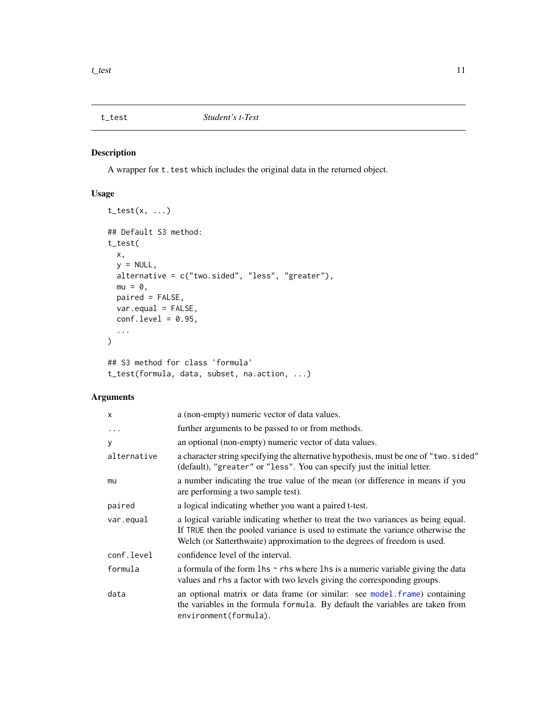<span id="page-10-0"></span>

A wrapper for t.test which includes the original data in the returned object.

#### Usage

```
t_{\text{test}(x, \ldots)}## Default S3 method:
t_test(
 x,
 y = NULL,alternative = c("two.sided", "less", "greater"),
 mu = 0,
 paired = FALSE,
 var.equal = FALSE,
 conf. level = 0.95,...
\mathcal{L}## S3 method for class 'formula'
t_test(formula, data, subset, na.action, ...)
```

| X           | a (non-empty) numeric vector of data values.                                                                                                                                                                                                     |
|-------------|--------------------------------------------------------------------------------------------------------------------------------------------------------------------------------------------------------------------------------------------------|
| $\cdots$    | further arguments to be passed to or from methods.                                                                                                                                                                                               |
| У           | an optional (non-empty) numeric vector of data values.                                                                                                                                                                                           |
| alternative | a character string specifying the alternative hypothesis, must be one of "two.sided"<br>(default), "greater" or "less". You can specify just the initial letter.                                                                                 |
| mu          | a number indicating the true value of the mean (or difference in means if you<br>are performing a two sample test).                                                                                                                              |
| paired      | a logical indicating whether you want a paired t-test.                                                                                                                                                                                           |
| var.equal   | a logical variable indicating whether to treat the two variances as being equal.<br>If TRUE then the pooled variance is used to estimate the variance otherwise the<br>Welch (or Satterthwaite) approximation to the degrees of freedom is used. |
| conf.level  | confidence level of the interval.                                                                                                                                                                                                                |
| formula     | a formula of the form $\ln s \sim r$ hs where $\ln s$ is a numeric variable giving the data<br>values and rhs a factor with two levels giving the corresponding groups.                                                                          |
| data        | an optional matrix or data frame (or similar: see model.frame) containing<br>the variables in the formula formula. By default the variables are taken from<br>environment(formula).                                                              |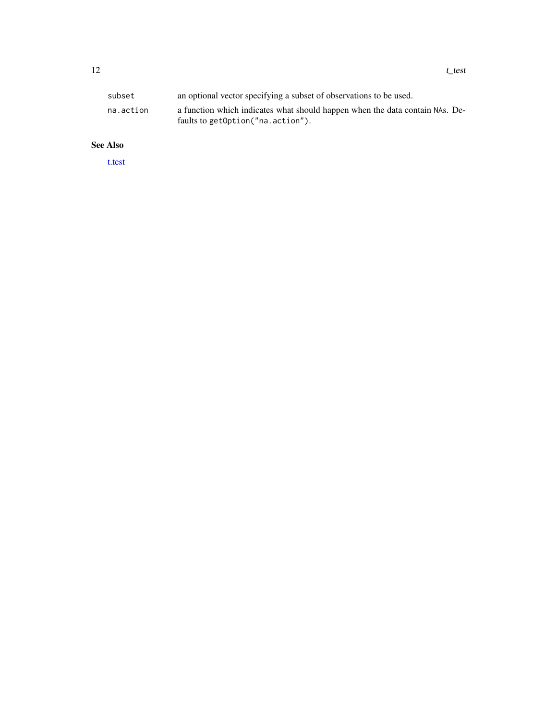<span id="page-11-0"></span>

| subset    | an optional vector specifying a subset of observations to be used.                                                |
|-----------|-------------------------------------------------------------------------------------------------------------------|
| na.action | a function which indicates what should happen when the data contain NAs. De-<br>faults to getOption("na.action"). |

#### See Also

[t.test](#page-0-0)